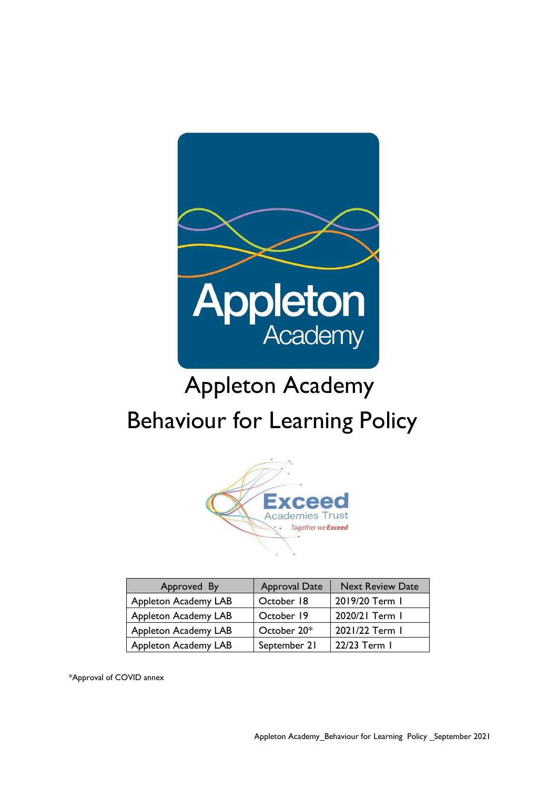

# Appleton Academy Behaviour for Learning Policy



| Approved By                 | <b>Approval Date</b> | <b>Next Review Date</b> |
|-----------------------------|----------------------|-------------------------|
| Appleton Academy LAB        | October 18           | 2019/20 Term 1          |
| <b>Appleton Academy LAB</b> | October 19           | 2020/21 Term I          |
| <b>Appleton Academy LAB</b> | October 20*          | 2021/22 Term 1          |
| <b>Appleton Academy LAB</b> | September 21         | 22/23 Term 1            |

\*Approval of COVID annex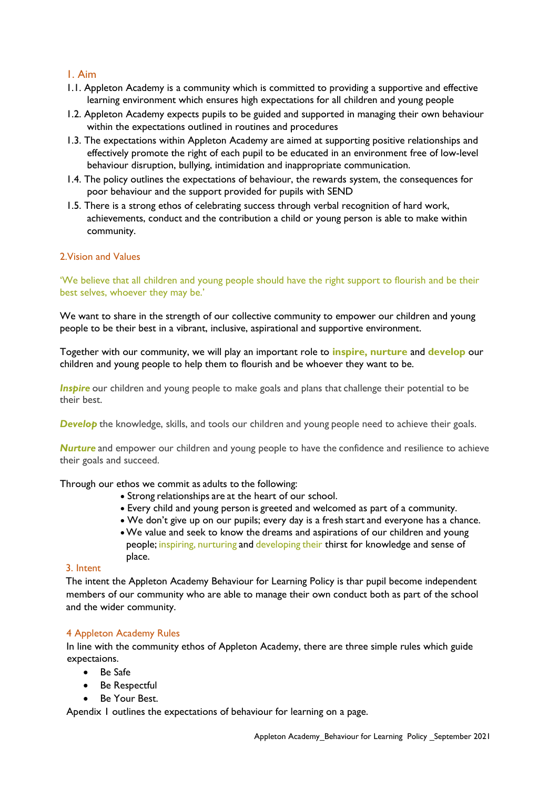# 1. Aim

- 1.1. Appleton Academy is a community which is committed to providing a supportive and effective learning environment which ensures high expectations for all children and young people
- 1.2. Appleton Academy expects pupils to be guided and supported in managing their own behaviour within the expectations outlined in routines and procedures
- 1.3. The expectations within Appleton Academy are aimed at supporting positive relationships and effectively promote the right of each pupil to be educated in an environment free of low-level behaviour disruption, bullying, intimidation and inappropriate communication.
- 1.4. The policy outlines the expectations of behaviour, the rewards system, the consequences for poor behaviour and the support provided for pupils with SEND
- 1.5. There is a strong ethos of celebrating success through verbal recognition of hard work, achievements, conduct and the contribution a child or young person is able to make within community.

#### 2.Vision and Values

'We believe that all children and young people should have the right support to flourish and be their best selves, whoever they may be.'

We want to share in the strength of our collective community to empower our children and young people to be their best in a vibrant, inclusive, aspirational and supportive environment.

Together with our community, we will play an important role to **inspire, nurture** and **develop** our children and young people to help them to flourish and be whoever they want to be.

*Inspire* our children and young people to make goals and plans that challenge their potential to be their best.

**Develop** the knowledge, skills, and tools our children and young people need to achieve their goals.

*Nurture* and empower our children and young people to have the confidence and resilience to achieve their goals and succeed.

Through our ethos we commit as adults to the following:   

- Strong relationships are at the heart of our school.
- Every child and young person is greeted and welcomed as part of a community.
- We don't give up on our pupils; every day is a fresh start and everyone has a chance.
- •We value and seek to know the dreams and aspirations of our children and young people; inspiring, nurturing and developing their thirst for knowledge and sense of place.

#### 3. Intent

The intent the Appleton Academy Behaviour for Learning Policy is thar pupil become independent members of our community who are able to manage their own conduct both as part of the school and the wider community.

#### 4 Appleton Academy Rules

In line with the community ethos of Appleton Academy, there are three simple rules which guide expectaions.

- Be Safe
- Be Respectful
- Be Your Best.

Apendix 1 outlines the expectations of behaviour for learning on a page.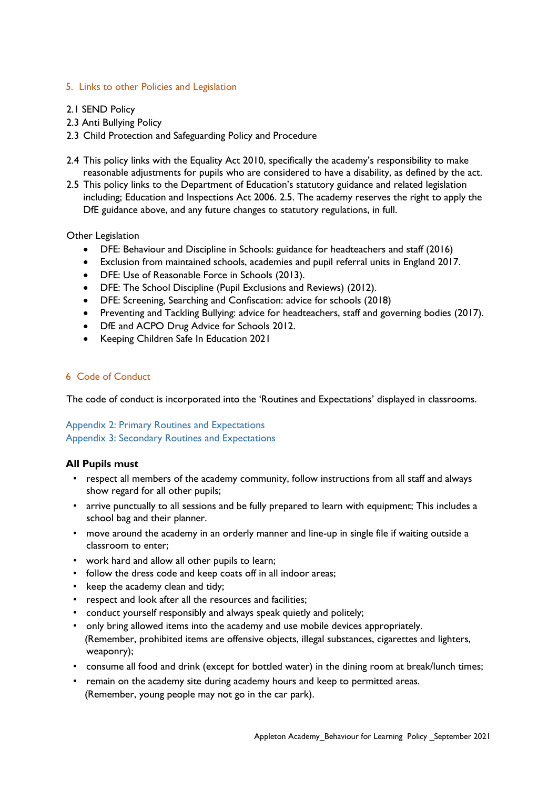#### 5. Links to other Policies and Legislation

- 2.1 SEND Policy
- 2.3 Anti Bullying Policy
- 2.3 Child Protection and Safeguarding Policy and Procedure
- 2.4 This policy links with the Equality Act 2010, specifically the academy's responsibility to make reasonable adjustments for pupils who are considered to have a disability, as defined by the act.
- 2.5 This policy links to the Department of Education's statutory guidance and related legislation including; Education and Inspections Act 2006. 2.5. The academy reserves the right to apply the DfE guidance above, and any future changes to statutory regulations, in full.

#### Other Legislation

- DFE: Behaviour and Discipline in Schools: guidance for headteachers and staff (2016)
- Exclusion from maintained schools, academies and pupil referral units in England 2017.
- DFE: Use of Reasonable Force in Schools (2013).
- DFE: The School Discipline (Pupil Exclusions and Reviews) (2012).
- DFE: Screening, Searching and Confiscation: advice for schools (2018)
- Preventing and Tackling Bullying: advice for headteachers, staff and governing bodies (2017).
- DfE and ACPO Drug Advice for Schools 2012.
- Keeping Children Safe In Education 2021

#### 6 Code of Conduct

The code of conduct is incorporated into the 'Routines and Expectations' displayed in classrooms.

#### Appendix 2: Primary Routines and Expectations Appendix 3: Secondary Routines and Expectations

#### **All Pupils must**

- respect all members of the academy community, follow instructions from all staff and always show regard for all other pupils;
- arrive punctually to all sessions and be fully prepared to learn with equipment; This includes a school bag and their planner.
- move around the academy in an orderly manner and line-up in single file if waiting outside a classroom to enter;
- work hard and allow all other pupils to learn;
- follow the dress code and keep coats off in all indoor areas;
- keep the academy clean and tidy;
- respect and look after all the resources and facilities;
- conduct yourself responsibly and always speak quietly and politely;
- only bring allowed items into the academy and use mobile devices appropriately. (Remember, prohibited items are offensive objects, illegal substances, cigarettes and lighters, weaponry);
- consume all food and drink (except for bottled water) in the dining room at break/lunch times;
- remain on the academy site during academy hours and keep to permitted areas. (Remember, young people may not go in the car park).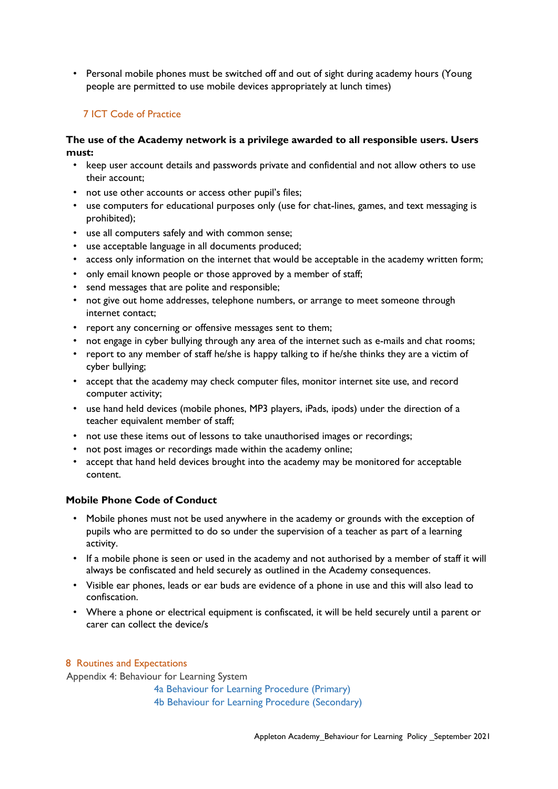• Personal mobile phones must be switched off and out of sight during academy hours (Young people are permitted to use mobile devices appropriately at lunch times)

# 7 ICT Code of Practice

#### **The use of the Academy network is a privilege awarded to all responsible users. Users must:**

- keep user account details and passwords private and confidential and not allow others to use their account;
- not use other accounts or access other pupil's files;
- use computers for educational purposes only (use for chat-lines, games, and text messaging is prohibited);
- use all computers safely and with common sense;
- use acceptable language in all documents produced;
- access only information on the internet that would be acceptable in the academy written form;
- only email known people or those approved by a member of staff;
- send messages that are polite and responsible;
- not give out home addresses, telephone numbers, or arrange to meet someone through internet contact;
- report any concerning or offensive messages sent to them;
- not engage in cyber bullying through any area of the internet such as e-mails and chat rooms;
- report to any member of staff he/she is happy talking to if he/she thinks they are a victim of cyber bullying;
- accept that the academy may check computer files, monitor internet site use, and record computer activity;
- use hand held devices (mobile phones, MP3 players, iPads, ipods) under the direction of a teacher equivalent member of staff;
- not use these items out of lessons to take unauthorised images or recordings;
- not post images or recordings made within the academy online;
- accept that hand held devices brought into the academy may be monitored for acceptable content.

#### **Mobile Phone Code of Conduct**

- Mobile phones must not be used anywhere in the academy or grounds with the exception of pupils who are permitted to do so under the supervision of a teacher as part of a learning activity.
- If a mobile phone is seen or used in the academy and not authorised by a member of staff it will always be confiscated and held securely as outlined in the Academy consequences.
- Visible ear phones, leads or ear buds are evidence of a phone in use and this will also lead to confiscation.
- Where a phone or electrical equipment is confiscated, it will be held securely until a parent or carer can collect the device/s

#### 8 Routines and Expectations

Appendix 4: Behaviour for Learning System

- 4a Behaviour for Learning Procedure (Primary)
- 4b Behaviour for Learning Procedure (Secondary)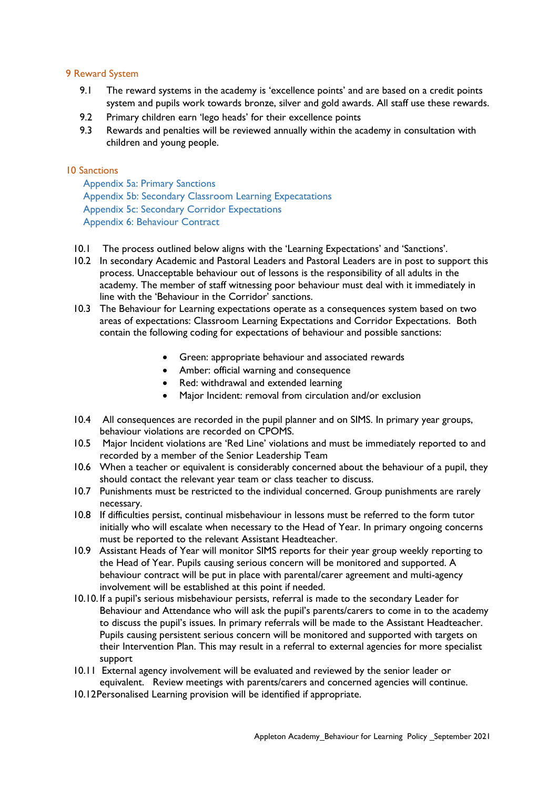#### 9 Reward System

- 9.1 The reward systems in the academy is 'excellence points' and are based on a credit points system and pupils work towards bronze, silver and gold awards. All staff use these rewards.
- 9.2 Primary children earn 'lego heads' for their excellence points
- 9.3 Rewards and penalties will be reviewed annually within the academy in consultation with children and young people.

#### 10 Sanctions

Appendix 5a: Primary Sanctions Appendix 5b: Secondary Classroom Learning Expecatations Appendix 5c: Secondary Corridor Expectations Appendix 6: Behaviour Contract

- 10.1 The process outlined below aligns with the 'Learning Expectations' and 'Sanctions'.
- 10.2 In secondary Academic and Pastoral Leaders and Pastoral Leaders are in post to support this process. Unacceptable behaviour out of lessons is the responsibility of all adults in the academy. The member of staff witnessing poor behaviour must deal with it immediately in line with the 'Behaviour in the Corridor' sanctions.
- 10.3 The Behaviour for Learning expectations operate as a consequences system based on two areas of expectations: Classroom Learning Expectations and Corridor Expectations. Both contain the following coding for expectations of behaviour and possible sanctions:
	- Green: appropriate behaviour and associated rewards
	- Amber: official warning and consequence
	- Red: withdrawal and extended learning
	- Major Incident: removal from circulation and/or exclusion
- 10.4 All consequences are recorded in the pupil planner and on SIMS. In primary year groups, behaviour violations are recorded on CPOMS.
- 10.5 Major Incident violations are 'Red Line' violations and must be immediately reported to and recorded by a member of the Senior Leadership Team
- 10.6 When a teacher or equivalent is considerably concerned about the behaviour of a pupil, they should contact the relevant year team or class teacher to discuss.
- 10.7 Punishments must be restricted to the individual concerned. Group punishments are rarely necessary.
- 10.8 If difficulties persist, continual misbehaviour in lessons must be referred to the form tutor initially who will escalate when necessary to the Head of Year. In primary ongoing concerns must be reported to the relevant Assistant Headteacher.
- 10.9 Assistant Heads of Year will monitor SIMS reports for their year group weekly reporting to the Head of Year. Pupils causing serious concern will be monitored and supported. A behaviour contract will be put in place with parental/carer agreement and multi-agency involvement will be established at this point if needed.
- 10.10. If a pupil's serious misbehaviour persists, referral is made to the secondary Leader for Behaviour and Attendance who will ask the pupil's parents/carers to come in to the academy to discuss the pupil's issues. In primary referrals will be made to the Assistant Headteacher. Pupils causing persistent serious concern will be monitored and supported with targets on their Intervention Plan. This may result in a referral to external agencies for more specialist support
- 10.11 External agency involvement will be evaluated and reviewed by the senior leader or equivalent. Review meetings with parents/carers and concerned agencies will continue.
- 10.12Personalised Learning provision will be identified if appropriate.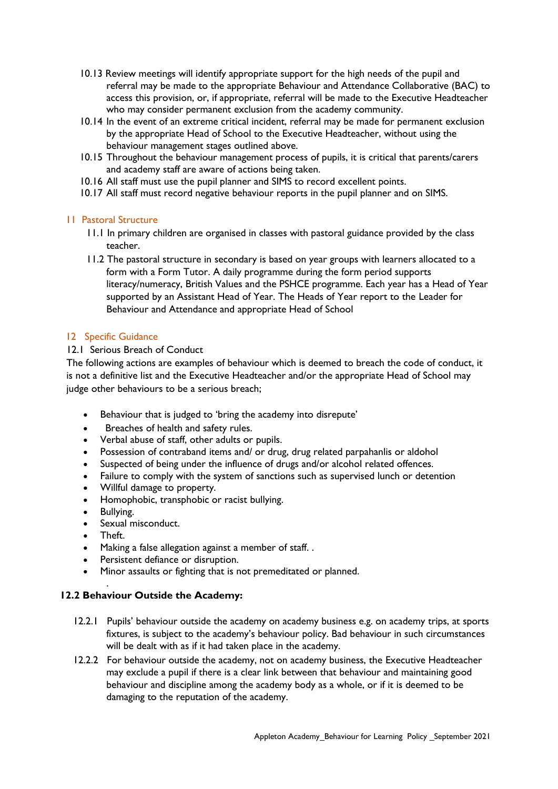- 10.13 Review meetings will identify appropriate support for the high needs of the pupil and referral may be made to the appropriate Behaviour and Attendance Collaborative (BAC) to access this provision, or, if appropriate, referral will be made to the Executive Headteacher who may consider permanent exclusion from the academy community.
- 10.14 In the event of an extreme critical incident, referral may be made for permanent exclusion by the appropriate Head of School to the Executive Headteacher, without using the behaviour management stages outlined above.
- 10.15 Throughout the behaviour management process of pupils, it is critical that parents/carers and academy staff are aware of actions being taken.
- 10.16 All staff must use the pupil planner and SIMS to record excellent points.
- 10.17 All staff must record negative behaviour reports in the pupil planner and on SIMS.

#### 11 Pastoral Structure

- 11.1 In primary children are organised in classes with pastoral guidance provided by the class teacher.
- 11.2 The pastoral structure in secondary is based on year groups with learners allocated to a form with a Form Tutor. A daily programme during the form period supports literacy/numeracy, British Values and the PSHCE programme. Each year has a Head of Year supported by an Assistant Head of Year. The Heads of Year report to the Leader for Behaviour and Attendance and appropriate Head of School

#### 12 Specific Guidance

#### 12.1 Serious Breach of Conduct

The following actions are examples of behaviour which is deemed to breach the code of conduct, it is not a definitive list and the Executive Headteacher and/or the appropriate Head of School may judge other behaviours to be a serious breach;

- Behaviour that is judged to 'bring the academy into disrepute'
- Breaches of health and safety rules.
- Verbal abuse of staff, other adults or pupils.
- Possession of contraband items and/ or drug, drug related parpahanlis or aldohol
- Suspected of being under the influence of drugs and/or alcohol related offences.
- Failure to comply with the system of sanctions such as supervised lunch or detention
- Willful damage to property.
- Homophobic, transphobic or racist bullying.
- Bullying.
- Sexual misconduct.
- Theft.

.

- Making a false allegation against a member of staff. .
- Persistent defiance or disruption.
- Minor assaults or fighting that is not premeditated or planned.

#### **12.2 Behaviour Outside the Academy:**

- 12.2.1 Pupils' behaviour outside the academy on academy business e.g. on academy trips, at sports fixtures, is subject to the academy's behaviour policy. Bad behaviour in such circumstances will be dealt with as if it had taken place in the academy.
- 12.2.2 For behaviour outside the academy, not on academy business, the Executive Headteacher may exclude a pupil if there is a clear link between that behaviour and maintaining good behaviour and discipline among the academy body as a whole, or if it is deemed to be damaging to the reputation of the academy.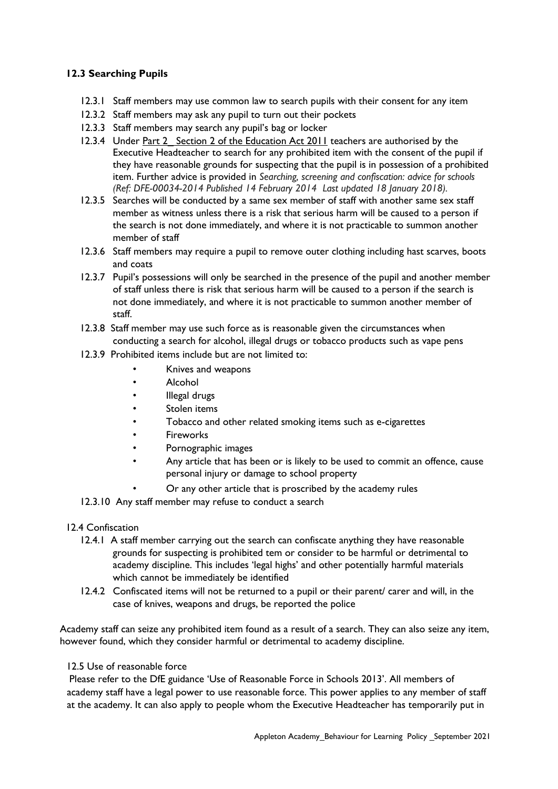## **12.3 Searching Pupils**

- 12.3.1 Staff members may use common law to search pupils with their consent for any item
- 12.3.2 Staff members may ask any pupil to turn out their pockets
- 12.3.3 Staff members may search any pupil's bag or locker
- 12.3.4 Under Part 2 Section 2 of the Education Act 2011 teachers are authorised by the Executive Headteacher to search for any prohibited item with the consent of the pupil if they have reasonable grounds for suspecting that the pupil is in possession of a prohibited item. Further advice is provided in *Searching, screening and confiscation: advice for schools (Ref: DFE-00034-2014 Published 14 February 2014 Last updated 18 January 2018).*
- 12.3.5 Searches will be conducted by a same sex member of staff with another same sex staff member as witness unless there is a risk that serious harm will be caused to a person if the search is not done immediately, and where it is not practicable to summon another member of staff
- 12.3.6 Staff members may require a pupil to remove outer clothing including hast scarves, boots and coats
- 12.3.7 Pupil's possessions will only be searched in the presence of the pupil and another member of staff unless there is risk that serious harm will be caused to a person if the search is not done immediately, and where it is not practicable to summon another member of staff.
- 12.3.8 Staff member may use such force as is reasonable given the circumstances when conducting a search for alcohol, illegal drugs or tobacco products such as vape pens
- 12.3.9 Prohibited items include but are not limited to:
	- Knives and weapons
	- Alcohol
	- Illegal drugs
	- Stolen items
	- Tobacco and other related smoking items such as e-cigarettes
	- **Fireworks**
	- Pornographic images
	- Any article that has been or is likely to be used to commit an offence, cause personal injury or damage to school property
	- Or any other article that is proscribed by the academy rules
- 12.3.10 Any staff member may refuse to conduct a search

#### 12.4 Confiscation

- 12.4.1 A staff member carrying out the search can confiscate anything they have reasonable grounds for suspecting is prohibited tem or consider to be harmful or detrimental to academy discipline. This includes 'legal highs' and other potentially harmful materials which cannot be immediately be identified
- 12.4.2 Confiscated items will not be returned to a pupil or their parent/ carer and will, in the case of knives, weapons and drugs, be reported the police

Academy staff can seize any prohibited item found as a result of a search. They can also seize any item, however found, which they consider harmful or detrimental to academy discipline.

## 12.5 Use of reasonable force

Please refer to the DfE guidance 'Use of Reasonable Force in Schools 2013'. All members of academy staff have a legal power to use reasonable force. This power applies to any member of staff at the academy. It can also apply to people whom the Executive Headteacher has temporarily put in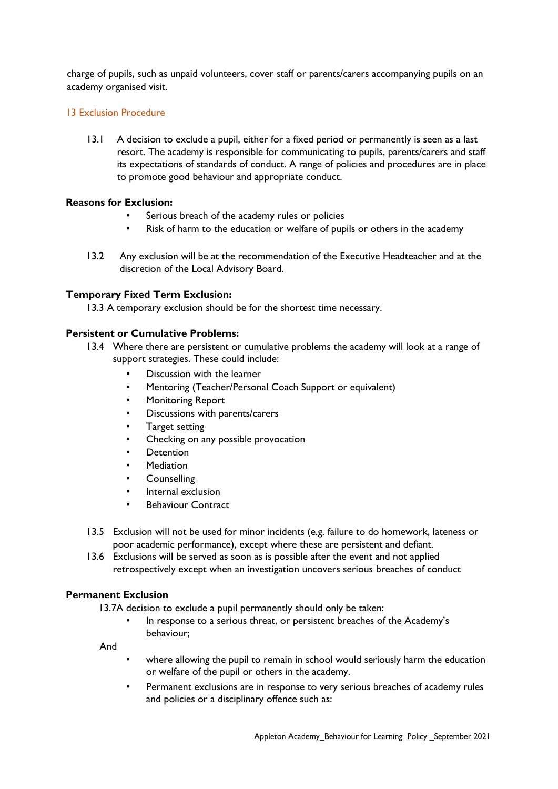charge of pupils, such as unpaid volunteers, cover staff or parents/carers accompanying pupils on an academy organised visit.

#### 13 Exclusion Procedure

13.1 A decision to exclude a pupil, either for a fixed period or permanently is seen as a last resort. The academy is responsible for communicating to pupils, parents/carers and staff its expectations of standards of conduct. A range of policies and procedures are in place to promote good behaviour and appropriate conduct.

#### **Reasons for Exclusion:**

- Serious breach of the academy rules or policies
- Risk of harm to the education or welfare of pupils or others in the academy
- 13.2 Any exclusion will be at the recommendation of the Executive Headteacher and at the discretion of the Local Advisory Board.

#### **Temporary Fixed Term Exclusion:**

13.3 A temporary exclusion should be for the shortest time necessary.

#### **Persistent or Cumulative Problems:**

- 13.4 Where there are persistent or cumulative problems the academy will look at a range of support strategies. These could include:
	- Discussion with the learner
	- Mentoring (Teacher/Personal Coach Support or equivalent)
	- Monitoring Report
	- Discussions with parents/carers
	- Target setting
	- Checking on any possible provocation
	- **Detention**
	- **Mediation**
	- Counselling
	- Internal exclusion
	- **Behaviour Contract**
- 13.5 Exclusion will not be used for minor incidents (e.g. failure to do homework, lateness or poor academic performance), except where these are persistent and defiant.
- 13.6 Exclusions will be served as soon as is possible after the event and not applied retrospectively except when an investigation uncovers serious breaches of conduct

#### **Permanent Exclusion**

13.7A decision to exclude a pupil permanently should only be taken:

• In response to a serious threat, or persistent breaches of the Academy's behaviour;

And

- where allowing the pupil to remain in school would seriously harm the education or welfare of the pupil or others in the academy.
- Permanent exclusions are in response to very serious breaches of academy rules and policies or a disciplinary offence such as: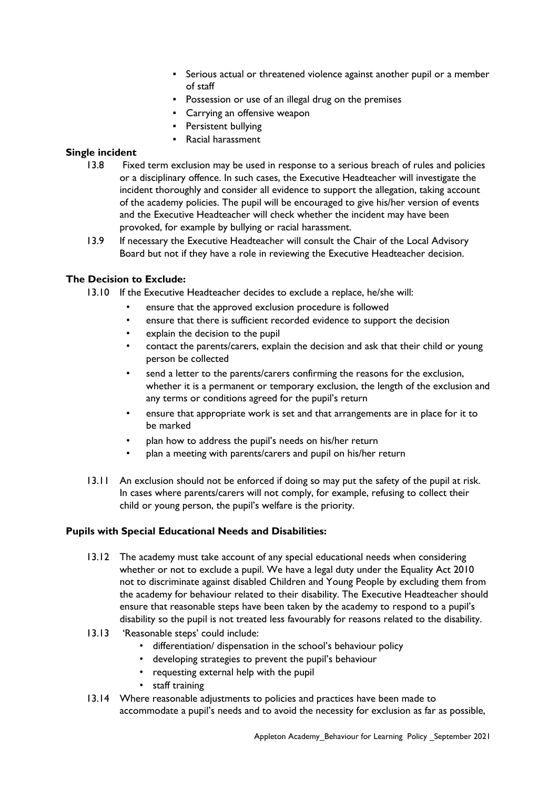- Serious actual or threatened violence against another pupil or a member of staff
- Possession or use of an illegal drug on the premises
- Carrying an offensive weapon
- Persistent bullying
- Racial harassment

#### **Single incident**

- 13.8 Fixed term exclusion may be used in response to a serious breach of rules and policies or a disciplinary offence. In such cases, the Executive Headteacher will investigate the incident thoroughly and consider all evidence to support the allegation, taking account of the academy policies. The pupil will be encouraged to give his/her version of events and the Executive Headteacher will check whether the incident may have been provoked, for example by bullying or racial harassment.
- 13.9 If necessary the Executive Headteacher will consult the Chair of the Local Advisory Board but not if they have a role in reviewing the Executive Headteacher decision.

#### **The Decision to Exclude:**

13.10 If the Executive Headteacher decides to exclude a replace, he/she will:

- ensure that the approved exclusion procedure is followed
- ensure that there is sufficient recorded evidence to support the decision
- explain the decision to the pupil
- contact the parents/carers, explain the decision and ask that their child or young person be collected
- send a letter to the parents/carers confirming the reasons for the exclusion, whether it is a permanent or temporary exclusion, the length of the exclusion and any terms or conditions agreed for the pupil's return
- ensure that appropriate work is set and that arrangements are in place for it to be marked
- plan how to address the pupil's needs on his/her return
- plan a meeting with parents/carers and pupil on his/her return
- 13.11 An exclusion should not be enforced if doing so may put the safety of the pupil at risk. In cases where parents/carers will not comply, for example, refusing to collect their child or young person, the pupil's welfare is the priority.

#### **Pupils with Special Educational Needs and Disabilities:**

- 13.12 The academy must take account of any special educational needs when considering whether or not to exclude a pupil. We have a legal duty under the Equality Act 2010 not to discriminate against disabled Children and Young People by excluding them from the academy for behaviour related to their disability. The Executive Headteacher should ensure that reasonable steps have been taken by the academy to respond to a pupil's disability so the pupil is not treated less favourably for reasons related to the disability.
- 13.13 'Reasonable steps' could include:
	- differentiation/ dispensation in the school's behaviour policy
	- developing strategies to prevent the pupil's behaviour
	- requesting external help with the pupil
	- staff training
- 13.14 Where reasonable adjustments to policies and practices have been made to accommodate a pupil's needs and to avoid the necessity for exclusion as far as possible,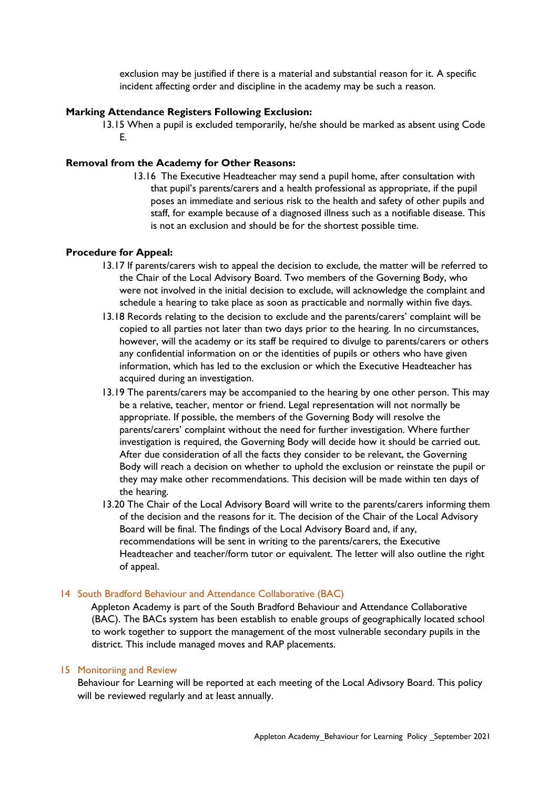exclusion may be justified if there is a material and substantial reason for it. A specific incident affecting order and discipline in the academy may be such a reason.

#### **Marking Attendance Registers Following Exclusion:**

13.15 When a pupil is excluded temporarily, he/she should be marked as absent using Code E.

#### **Removal from the Academy for Other Reasons:**

13.16 The Executive Headteacher may send a pupil home, after consultation with that pupil's parents/carers and a health professional as appropriate, if the pupil poses an immediate and serious risk to the health and safety of other pupils and staff, for example because of a diagnosed illness such as a notifiable disease. This is not an exclusion and should be for the shortest possible time.

#### **Procedure for Appeal:**

- 13.17 If parents/carers wish to appeal the decision to exclude, the matter will be referred to the Chair of the Local Advisory Board. Two members of the Governing Body, who were not involved in the initial decision to exclude, will acknowledge the complaint and schedule a hearing to take place as soon as practicable and normally within five days.
- 13.18 Records relating to the decision to exclude and the parents/carers' complaint will be copied to all parties not later than two days prior to the hearing. In no circumstances, however, will the academy or its staff be required to divulge to parents/carers or others any confidential information on or the identities of pupils or others who have given information, which has led to the exclusion or which the Executive Headteacher has acquired during an investigation.
- 13.19 The parents/carers may be accompanied to the hearing by one other person. This may be a relative, teacher, mentor or friend. Legal representation will not normally be appropriate. If possible, the members of the Governing Body will resolve the parents/carers' complaint without the need for further investigation. Where further investigation is required, the Governing Body will decide how it should be carried out. After due consideration of all the facts they consider to be relevant, the Governing Body will reach a decision on whether to uphold the exclusion or reinstate the pupil or they may make other recommendations. This decision will be made within ten days of the hearing.
- 13.20 The Chair of the Local Advisory Board will write to the parents/carers informing them of the decision and the reasons for it. The decision of the Chair of the Local Advisory Board will be final. The findings of the Local Advisory Board and, if any, recommendations will be sent in writing to the parents/carers, the Executive Headteacher and teacher/form tutor or equivalent. The letter will also outline the right of appeal.

#### 14 South Bradford Behaviour and Attendance Collaborative (BAC)

Appleton Academy is part of the South Bradford Behaviour and Attendance Collaborative (BAC). The BACs system has been establish to enable groups of geographically located school to work together to support the management of the most vulnerable secondary pupils in the district. This include managed moves and RAP placements.

#### 15 Monitoriing and Review

Behaviour for Learning will be reported at each meeting of the Local Adivsory Board. This policy will be reviewed regularly and at least annually.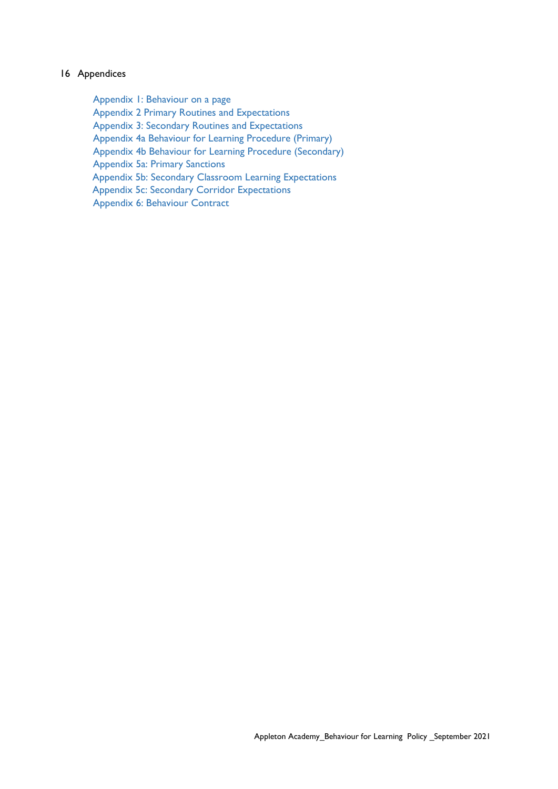#### 16 Appendices

Appendix 1: Behaviour on a page Appendix 2 Primary Routines and Expectations Appendix 3: Secondary Routines and Expectations Appendix 4a Behaviour for Learning Procedure (Primary) Appendix 4b Behaviour for Learning Procedure (Secondary) Appendix 5a: Primary Sanctions Appendix 5b: Secondary Classroom Learning Expectations Appendix 5c: Secondary Corridor Expectations Appendix 6: Behaviour Contract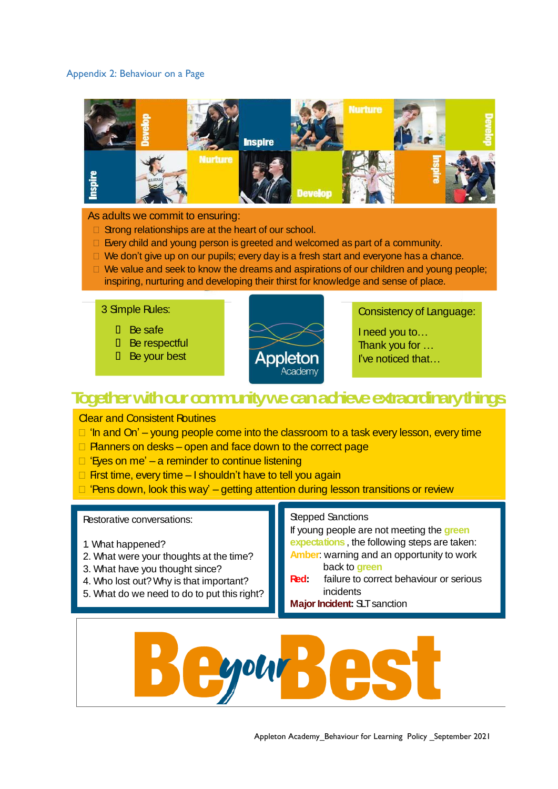#### Appendix 2: Behaviour on a Page



#### As adults we commit to ensuring:

- $\Box$  Strong relationships are at the heart of our school.
- $\Box$  Every child and young person is greeted and welcomed as part of a community.
- $\Box$  We don't give up on our pupils; every day is a fresh start and everyone has a chance.
- $\Box$  We value and seek to know the dreams and aspirations of our children and young people; inspiring, nurturing and developing their thirst for knowledge and sense of place.

#### 3 Simple Rules:

- D Be safe
- **D** Be respectful
- **D** Be your best



Consistency of Language:

I need you to… Thank you for … I've noticed that…

# **Togetherwithourcommunitywecanachieveextraordinarythings.**

#### Clear and Consistent Routines

 $\Box$  'In and On' – young people come into the classroom to a task every lesson, every time

• Exit– stand behind chairs, check the floor, corridor reminder, dismiss a group at a time

- $\Box$  Planners on desks open and face down to the correct page
- $\Box$  'Eyes on me' a reminder to continue listening
- $\Box$  First time, every time I shouldn't have to tell you again
- $\Box$  'Pens down, look this way' getting attention during lesson transitions or review

#### Restorative conversations:

- 1. What happened?
- 2. What were your thoughts at the time?
- 3. What have you thought since?
- 4. Who lost out? Why is that important?
- 5. What do we need to do to put this right?

#### Stepped Sanctions

If young people are not meeting the **green expectations** , the following steps are taken: **Amber**: warning and an opportunity to work back to **green**

**Red:** failure to correct behaviour or serious incidents

**Major Incident: SLT** sanction

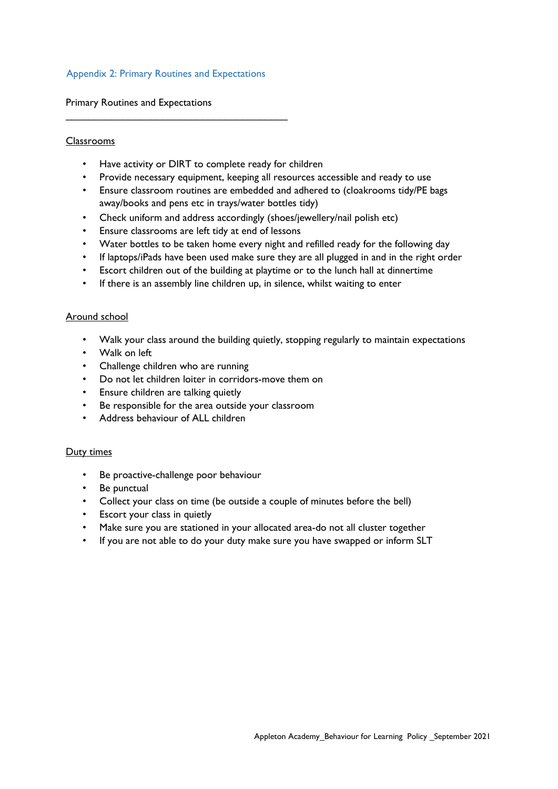#### Appendix 2: Primary Routines and Expectations

\_\_\_\_\_\_\_\_\_\_\_\_\_\_\_\_\_\_\_\_\_\_\_\_\_\_\_\_\_\_\_\_\_\_\_\_\_\_\_

Primary Routines and Expectations

#### Classrooms

- Have activity or DIRT to complete ready for children
- Provide necessary equipment, keeping all resources accessible and ready to use
- Ensure classroom routines are embedded and adhered to (cloakrooms tidy/PE bags away/books and pens etc in trays/water bottles tidy)
- Check uniform and address accordingly (shoes/jewellery/nail polish etc)
- Ensure classrooms are left tidy at end of lessons
- Water bottles to be taken home every night and refilled ready for the following day
- If laptops/iPads have been used make sure they are all plugged in and in the right order
- Escort children out of the building at playtime or to the lunch hall at dinnertime
- If there is an assembly line children up, in silence, whilst waiting to enter

#### Around school

- Walk your class around the building quietly, stopping regularly to maintain expectations
- Walk on left
- Challenge children who are running
- Do not let children loiter in corridors-move them on
- Ensure children are talking quietly
- Be responsible for the area outside your classroom
- Address behaviour of ALL children

#### Duty times

- Be proactive-challenge poor behaviour
- Be punctual
- Collect your class on time (be outside a couple of minutes before the bell)
- Escort your class in quietly
- Make sure you are stationed in your allocated area-do not all cluster together
- If you are not able to do your duty make sure you have swapped or inform SLT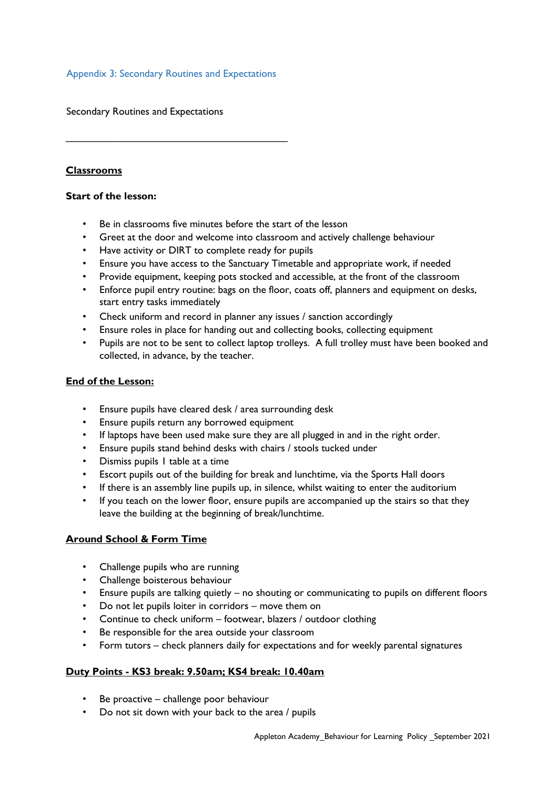#### Appendix 3: Secondary Routines and Expectations

 $\mathcal{L}_\text{max}$  , and the contract of the contract of the contract of the contract of the contract of the contract of the contract of the contract of the contract of the contract of the contract of the contract of the contr

Secondary Routines and Expectations

# **Classrooms**

#### **Start of the lesson:**

- Be in classrooms five minutes before the start of the lesson
- Greet at the door and welcome into classroom and actively challenge behaviour
- Have activity or DIRT to complete ready for pupils
- Ensure you have access to the Sanctuary Timetable and appropriate work, if needed
- Provide equipment, keeping pots stocked and accessible, at the front of the classroom
- Enforce pupil entry routine: bags on the floor, coats off, planners and equipment on desks, start entry tasks immediately
- Check uniform and record in planner any issues / sanction accordingly
- Ensure roles in place for handing out and collecting books, collecting equipment
- Pupils are not to be sent to collect laptop trolleys. A full trolley must have been booked and collected, in advance, by the teacher.

#### **End of the Lesson:**

- Ensure pupils have cleared desk / area surrounding desk
- Ensure pupils return any borrowed equipment
- If laptops have been used make sure they are all plugged in and in the right order.
- Ensure pupils stand behind desks with chairs / stools tucked under
- Dismiss pupils 1 table at a time
- Escort pupils out of the building for break and lunchtime, via the Sports Hall doors
- If there is an assembly line pupils up, in silence, whilst waiting to enter the auditorium
- If you teach on the lower floor, ensure pupils are accompanied up the stairs so that they leave the building at the beginning of break/lunchtime.

#### **Around School & Form Time**

- Challenge pupils who are running
- Challenge boisterous behaviour
- Ensure pupils are talking quietly no shouting or communicating to pupils on different floors
- Do not let pupils loiter in corridors move them on
- Continue to check uniform footwear, blazers / outdoor clothing
- Be responsible for the area outside your classroom
- Form tutors check planners daily for expectations and for weekly parental signatures

#### **Duty Points - KS3 break: 9.50am; KS4 break: 10.40am**

- Be proactive challenge poor behaviour
- Do not sit down with your back to the area / pupils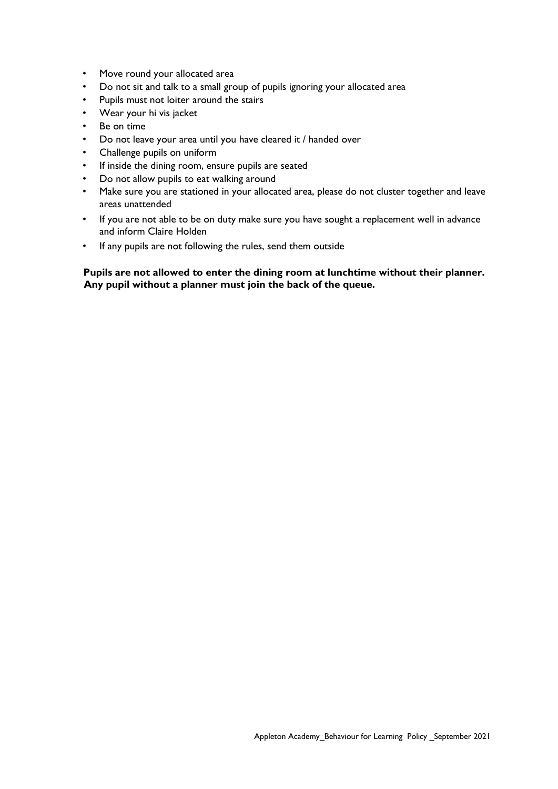- Move round your allocated area
- Do not sit and talk to a small group of pupils ignoring your allocated area
- Pupils must not loiter around the stairs
- Wear your hi vis jacket
- Be on time
- Do not leave your area until you have cleared it / handed over
- Challenge pupils on uniform
- If inside the dining room, ensure pupils are seated
- Do not allow pupils to eat walking around
- Make sure you are stationed in your allocated area, please do not cluster together and leave areas unattended
- If you are not able to be on duty make sure you have sought a replacement well in advance and inform Claire Holden
- If any pupils are not following the rules, send them outside

#### **Pupils are not allowed to enter the dining room at lunchtime without their planner. Any pupil without a planner must join the back of the queue.**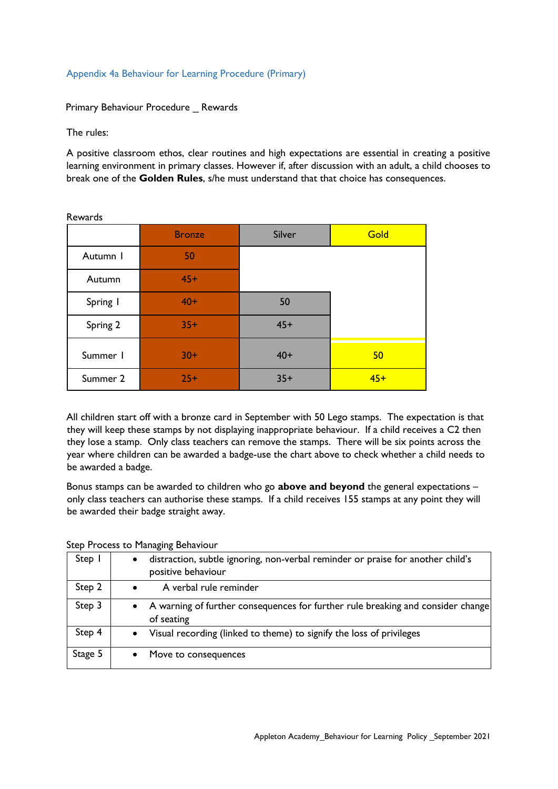#### Appendix 4a Behaviour for Learning Procedure (Primary)

Primary Behaviour Procedure \_ Rewards

The rules:

A positive classroom ethos, clear routines and high expectations are essential in creating a positive learning environment in primary classes. However if, after discussion with an adult, a child chooses to break one of the **Golden Rules**, s/he must understand that that choice has consequences.

|          | <b>Bronze</b> | Silver | Gold  |
|----------|---------------|--------|-------|
| Autumn I | 50            |        |       |
| Autumn   | $45+$         |        |       |
| Spring I | $40+$         | 50     |       |
| Spring 2 | $35+$         | $45+$  |       |
| Summer I | $30+$         | $40+$  | 50    |
| Summer 2 | $25+$         | $35+$  | $45+$ |

All children start off with a bronze card in September with 50 Lego stamps. The expectation is that they will keep these stamps by not displaying inappropriate behaviour. If a child receives a C2 then they lose a stamp. Only class teachers can remove the stamps. There will be six points across the year where children can be awarded a badge-use the chart above to check whether a child needs to be awarded a badge.

Bonus stamps can be awarded to children who go **above and beyond** the general expectations – only class teachers can authorise these stamps. If a child receives 155 stamps at any point they will be awarded their badge straight away.

Step Process to Managing Behaviour

| Step I  | distraction, subtle ignoring, non-verbal reminder or praise for another child's<br>positive behaviour |
|---------|-------------------------------------------------------------------------------------------------------|
| Step 2  | A verbal rule reminder                                                                                |
| Step 3  | A warning of further consequences for further rule breaking and consider change<br>of seating         |
| Step 4  | Visual recording (linked to theme) to signify the loss of privileges                                  |
| Stage 5 | Move to consequences                                                                                  |

Rewards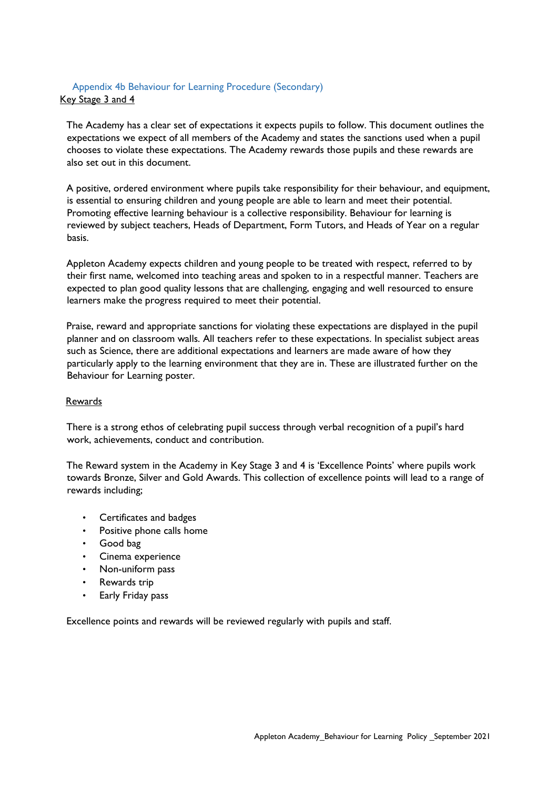# Appendix 4b Behaviour for Learning Procedure (Secondary) Key Stage 3 and 4

The Academy has a clear set of expectations it expects pupils to follow. This document outlines the expectations we expect of all members of the Academy and states the sanctions used when a pupil chooses to violate these expectations. The Academy rewards those pupils and these rewards are also set out in this document.

A positive, ordered environment where pupils take responsibility for their behaviour, and equipment, is essential to ensuring children and young people are able to learn and meet their potential. Promoting effective learning behaviour is a collective responsibility. Behaviour for learning is reviewed by subject teachers, Heads of Department, Form Tutors, and Heads of Year on a regular basis.

Appleton Academy expects children and young people to be treated with respect, referred to by their first name, welcomed into teaching areas and spoken to in a respectful manner. Teachers are expected to plan good quality lessons that are challenging, engaging and well resourced to ensure learners make the progress required to meet their potential.

Praise, reward and appropriate sanctions for violating these expectations are displayed in the pupil planner and on classroom walls. All teachers refer to these expectations. In specialist subject areas such as Science, there are additional expectations and learners are made aware of how they particularly apply to the learning environment that they are in. These are illustrated further on the Behaviour for Learning poster.

#### Rewards

There is a strong ethos of celebrating pupil success through verbal recognition of a pupil's hard work, achievements, conduct and contribution.

The Reward system in the Academy in Key Stage 3 and 4 is 'Excellence Points' where pupils work towards Bronze, Silver and Gold Awards. This collection of excellence points will lead to a range of rewards including;

- Certificates and badges
- Positive phone calls home
- Good bag
- Cinema experience
- Non-uniform pass
- Rewards trip
- Early Friday pass

Excellence points and rewards will be reviewed regularly with pupils and staff.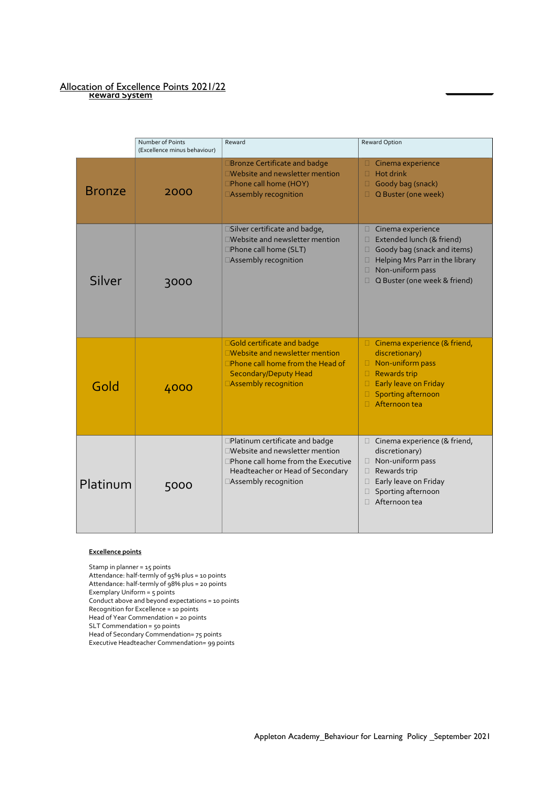#### Allocation of Excellence Points 2021/22 **Reward System**

|               | Number of Points<br>(Excellence minus behaviour) | Reward                                                                                                                                                                 | Reward Option                                                                                                                                                                                           |
|---------------|--------------------------------------------------|------------------------------------------------------------------------------------------------------------------------------------------------------------------------|---------------------------------------------------------------------------------------------------------------------------------------------------------------------------------------------------------|
| <b>Bronze</b> | 2000                                             | <b>Bronze Certificate and badge</b><br>□Website and newsletter mention<br>□Phone call home (HOY)<br>□Assembly recognition                                              | $\Box$<br>Cinema experience<br>Hot drink<br>$\Box$<br>$\Box$<br>Goody bag (snack)<br>Q Buster (one week)<br>0                                                                                           |
| Silver        | 3000                                             | □Silver certificate and badge,<br>□Website and newsletter mention<br>□Phone call home (SLT)<br>□Assembly recognition                                                   | Cinema experience<br>$\Box$<br>Extended lunch (& friend)<br>□<br>Goody bag (snack and items)<br>0<br>Helping Mrs Parr in the library<br>□<br>Non-uniform pass<br>0<br>Q Buster (one week & friend)<br>П |
| Gold          | 4000                                             | □Gold certificate and badge<br>□Website and newsletter mention<br>$\Box$ Phone call home from the Head of<br><b>Secondary/Deputy Head</b><br>□Assembly recognition     | $\Box$ Cinema experience (& friend,<br>discretionary)<br>$\Box$ Non-uniform pass<br><b>Rewards trip</b><br>$\Box$<br>Early leave on Friday<br>$\Box$<br>Sporting afternoon<br>$\Box$<br>Afternoon tea   |
| Platinum      | 5000                                             | □Platinum certificate and badge<br>□Website and newsletter mention<br>□Phone call home from the Executive<br>Headteacher or Head of Secondary<br>□Assembly recognition | Cinema experience (& friend,<br>0<br>discretionary)<br>Non-uniform pass<br>$\Box$<br>Rewards trip<br>0<br>Early leave on Friday<br>$\Box$<br>Sporting afternoon<br>$\Box$<br>$\Box$ Afternoon tea       |

#### **Excellence points**

Stamp in planner = 15 points Attendance: half-termly of 95% plus = 10 points Attendance: half-termly of 98% plus = 20 points Exemplary Uniform = 5 points Conduct above and beyond expectations = 10 points Recognition for Excellence = 10 points Head of Year Commendation = 20 points SLT Commendation = 50 points Head of Secondary Commendation= 75 points Executive Headteacher Commendation= 99 points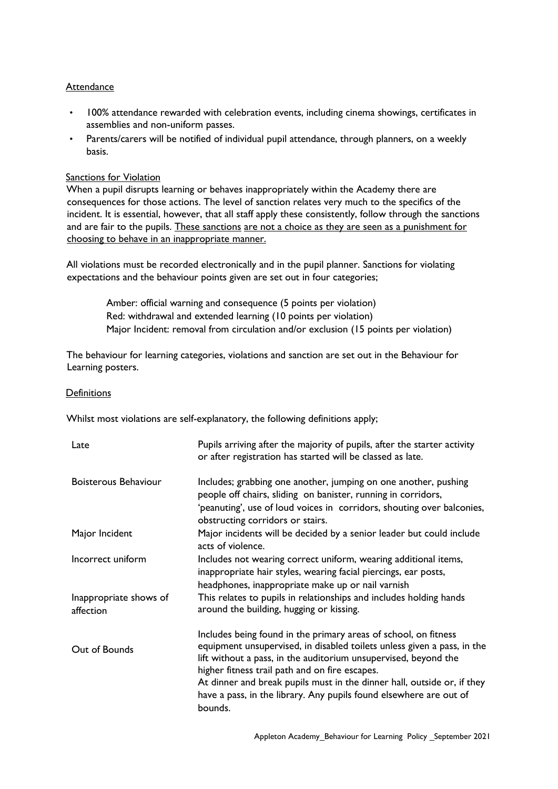#### **Attendance**

- 100% attendance rewarded with celebration events, including cinema showings, certificates in assemblies and non-uniform passes.
- Parents/carers will be notified of individual pupil attendance, through planners, on a weekly basis.

#### Sanctions for Violation

When a pupil disrupts learning or behaves inappropriately within the Academy there are consequences for those actions. The level of sanction relates very much to the specifics of the incident. It is essential, however, that all staff apply these consistently, follow through the sanctions and are fair to the pupils. These sanctions are not a choice as they are seen as a punishment for choosing to behave in an inappropriate manner.

All violations must be recorded electronically and in the pupil planner. Sanctions for violating expectations and the behaviour points given are set out in four categories;

> Amber: official warning and consequence (5 points per violation) Red: withdrawal and extended learning (10 points per violation) Major Incident: removal from circulation and/or exclusion (15 points per violation)

The behaviour for learning categories, violations and sanction are set out in the Behaviour for Learning posters.

#### **Definitions**

Whilst most violations are self-explanatory, the following definitions apply;

| Late                                | Pupils arriving after the majority of pupils, after the starter activity<br>or after registration has started will be classed as late.                                                                                                                                                                                                                                                                                      |
|-------------------------------------|-----------------------------------------------------------------------------------------------------------------------------------------------------------------------------------------------------------------------------------------------------------------------------------------------------------------------------------------------------------------------------------------------------------------------------|
| Boisterous Behaviour                | Includes; grabbing one another, jumping on one another, pushing<br>people off chairs, sliding on banister, running in corridors,<br>'peanuting', use of loud voices in corridors, shouting over balconies,<br>obstructing corridors or stairs.                                                                                                                                                                              |
| Major Incident                      | Major incidents will be decided by a senior leader but could include<br>acts of violence.                                                                                                                                                                                                                                                                                                                                   |
| Incorrect uniform                   | Includes not wearing correct uniform, wearing additional items,<br>inappropriate hair styles, wearing facial piercings, ear posts,<br>headphones, inappropriate make up or nail varnish                                                                                                                                                                                                                                     |
| Inappropriate shows of<br>affection | This relates to pupils in relationships and includes holding hands<br>around the building, hugging or kissing.                                                                                                                                                                                                                                                                                                              |
| Out of Bounds                       | Includes being found in the primary areas of school, on fitness<br>equipment unsupervised, in disabled toilets unless given a pass, in the<br>lift without a pass, in the auditorium unsupervised, beyond the<br>higher fitness trail path and on fire escapes.<br>At dinner and break pupils must in the dinner hall, outside or, if they<br>have a pass, in the library. Any pupils found elsewhere are out of<br>bounds. |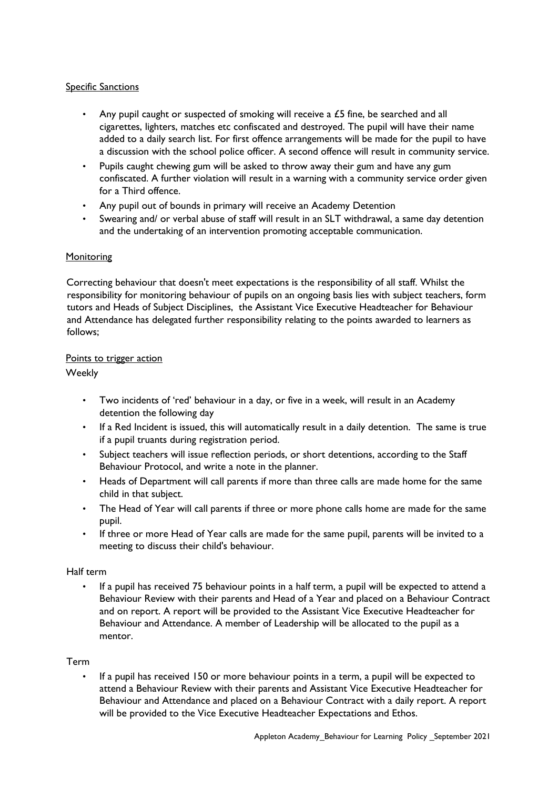#### **Specific Sanctions**

- Any pupil caught or suspected of smoking will receive a £5 fine, be searched and all cigarettes, lighters, matches etc confiscated and destroyed. The pupil will have their name added to a daily search list. For first offence arrangements will be made for the pupil to have a discussion with the school police officer. A second offence will result in community service.
- Pupils caught chewing gum will be asked to throw away their gum and have any gum confiscated. A further violation will result in a warning with a community service order given for a Third offence.
- Any pupil out of bounds in primary will receive an Academy Detention
- Swearing and/ or verbal abuse of staff will result in an SLT withdrawal, a same day detention and the undertaking of an intervention promoting acceptable communication.

#### **Monitoring**

Correcting behaviour that doesn't meet expectations is the responsibility of all staff. Whilst the responsibility for monitoring behaviour of pupils on an ongoing basis lies with subject teachers, form tutors and Heads of Subject Disciplines, the Assistant Vice Executive Headteacher for Behaviour and Attendance has delegated further responsibility relating to the points awarded to learners as follows;

#### Points to trigger action

Weekly

- Two incidents of 'red' behaviour in a day, or five in a week, will result in an Academy detention the following day
- If a Red Incident is issued, this will automatically result in a daily detention. The same is true if a pupil truants during registration period.
- Subject teachers will issue reflection periods, or short detentions, according to the Staff Behaviour Protocol, and write a note in the planner.
- Heads of Department will call parents if more than three calls are made home for the same child in that subject.
- The Head of Year will call parents if three or more phone calls home are made for the same pupil.
- If three or more Head of Year calls are made for the same pupil, parents will be invited to a meeting to discuss their child's behaviour.

#### Half term

• If a pupil has received 75 behaviour points in a half term, a pupil will be expected to attend a Behaviour Review with their parents and Head of a Year and placed on a Behaviour Contract and on report. A report will be provided to the Assistant Vice Executive Headteacher for Behaviour and Attendance. A member of Leadership will be allocated to the pupil as a mentor.

#### Term

• If a pupil has received 150 or more behaviour points in a term, a pupil will be expected to attend a Behaviour Review with their parents and Assistant Vice Executive Headteacher for Behaviour and Attendance and placed on a Behaviour Contract with a daily report. A report will be provided to the Vice Executive Headteacher Expectations and Ethos.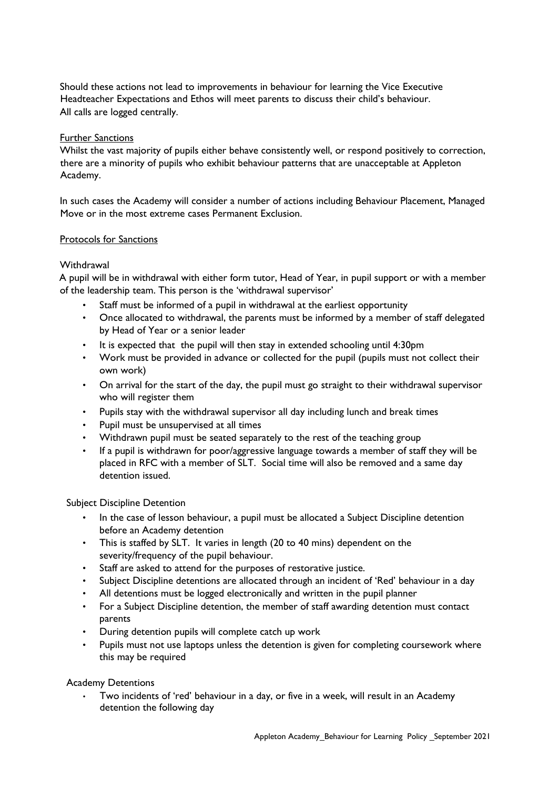Should these actions not lead to improvements in behaviour for learning the Vice Executive Headteacher Expectations and Ethos will meet parents to discuss their child's behaviour. All calls are logged centrally.

#### Further Sanctions

Whilst the vast majority of pupils either behave consistently well, or respond positively to correction, there are a minority of pupils who exhibit behaviour patterns that are unacceptable at Appleton Academy.

In such cases the Academy will consider a number of actions including Behaviour Placement, Managed Move or in the most extreme cases Permanent Exclusion.

#### Protocols for Sanctions

#### **Withdrawal**

A pupil will be in withdrawal with either form tutor, Head of Year, in pupil support or with a member of the leadership team. This person is the 'withdrawal supervisor'

- Staff must be informed of a pupil in withdrawal at the earliest opportunity
- Once allocated to withdrawal, the parents must be informed by a member of staff delegated by Head of Year or a senior leader
- It is expected that the pupil will then stay in extended schooling until 4:30pm
- Work must be provided in advance or collected for the pupil (pupils must not collect their own work)
- On arrival for the start of the day, the pupil must go straight to their withdrawal supervisor who will register them
- Pupils stay with the withdrawal supervisor all day including lunch and break times
- Pupil must be unsupervised at all times
- Withdrawn pupil must be seated separately to the rest of the teaching group
- If a pupil is withdrawn for poor/aggressive language towards a member of staff they will be placed in RFC with a member of SLT. Social time will also be removed and a same day detention issued.

#### Subject Discipline Detention

- In the case of lesson behaviour, a pupil must be allocated a Subject Discipline detention before an Academy detention
- This is staffed by SLT. It varies in length (20 to 40 mins) dependent on the severity/frequency of the pupil behaviour.
- Staff are asked to attend for the purposes of restorative justice.
- Subject Discipline detentions are allocated through an incident of 'Red' behaviour in a day
- All detentions must be logged electronically and written in the pupil planner
- For a Subject Discipline detention, the member of staff awarding detention must contact parents
- During detention pupils will complete catch up work
- Pupils must not use laptops unless the detention is given for completing coursework where this may be required

#### Academy Detentions

• Two incidents of 'red' behaviour in a day, or five in a week, will result in an Academy detention the following day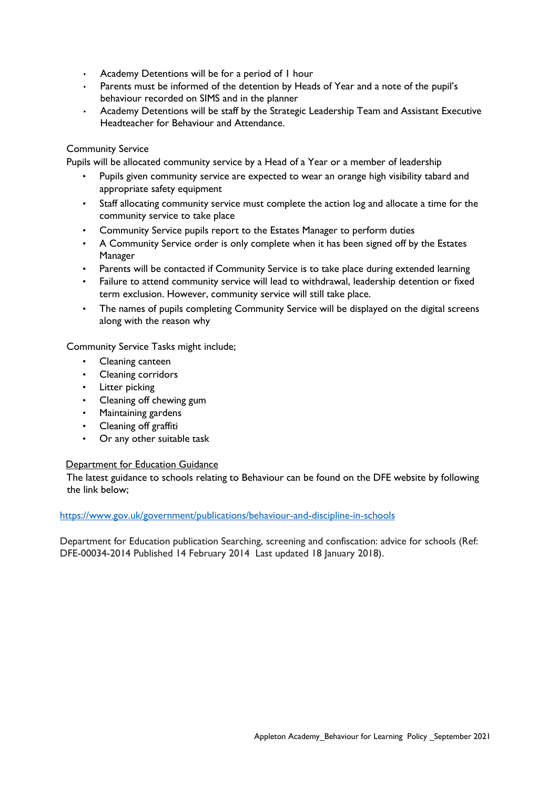- Academy Detentions will be for a period of 1 hour
- Parents must be informed of the detention by Heads of Year and a note of the pupil's behaviour recorded on SIMS and in the planner
- Academy Detentions will be staff by the Strategic Leadership Team and Assistant Executive Headteacher for Behaviour and Attendance.

#### Community Service

Pupils will be allocated community service by a Head of a Year or a member of leadership

- Pupils given community service are expected to wear an orange high visibility tabard and appropriate safety equipment
- Staff allocating community service must complete the action log and allocate a time for the community service to take place
- Community Service pupils report to the Estates Manager to perform duties
- A Community Service order is only complete when it has been signed off by the Estates Manager
- Parents will be contacted if Community Service is to take place during extended learning
- Failure to attend community service will lead to withdrawal, leadership detention or fixed term exclusion. However, community service will still take place.
- The names of pupils completing Community Service will be displayed on the digital screens along with the reason why

Community Service Tasks might include;

- Cleaning canteen
- Cleaning corridors
- Litter picking
- Cleaning off chewing gum
- Maintaining gardens
- Cleaning off graffiti
- Or any other suitable task

#### Department for Education Guidance

The latest guidance to schools relating to Behaviour can be found on the DFE website by following the link below;

#### <https://www.gov.uk/government/publications/behaviour-and-discipline-in-schools>

Department for Education publication Searching, screening and confiscation: advice for schools (Ref: DFE-00034-2014 Published 14 February 2014 Last updated 18 January 2018).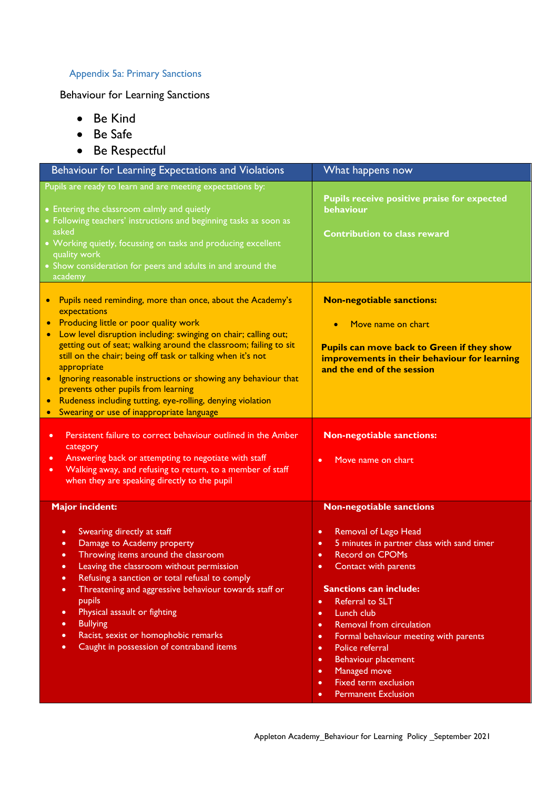# Appendix 5a: Primary Sanctions

# Behaviour for Learning Sanctions

- Be Kind
- Be Safe
- Be Respectful

| Behaviour for Learning Expectations and Violations                                                                                                                                                                                                                                                                                                                                                                                                                                                                                                                                                                | What happens now                                                                                                                                                                                                                                                                                                                                                                                                                                                                                                                                                        |
|-------------------------------------------------------------------------------------------------------------------------------------------------------------------------------------------------------------------------------------------------------------------------------------------------------------------------------------------------------------------------------------------------------------------------------------------------------------------------------------------------------------------------------------------------------------------------------------------------------------------|-------------------------------------------------------------------------------------------------------------------------------------------------------------------------------------------------------------------------------------------------------------------------------------------------------------------------------------------------------------------------------------------------------------------------------------------------------------------------------------------------------------------------------------------------------------------------|
| Pupils are ready to learn and are meeting expectations by:<br>• Entering the classroom calmly and quietly<br>• Following teachers' instructions and beginning tasks as soon as<br>asked<br>• Working quietly, focussing on tasks and producing excellent<br>quality work<br>• Show consideration for peers and adults in and around the<br>academy                                                                                                                                                                                                                                                                | Pupils receive positive praise for expected<br>behaviour<br><b>Contribution to class reward</b>                                                                                                                                                                                                                                                                                                                                                                                                                                                                         |
| Pupils need reminding, more than once, about the Academy's<br>$\bullet$<br>expectations<br>Producing little or poor quality work<br>$\bullet$<br>Low level disruption including: swinging on chair; calling out;<br>$\bullet$<br>getting out of seat; walking around the classroom; failing to sit<br>still on the chair; being off task or talking when it's not<br>appropriate<br>Ignoring reasonable instructions or showing any behaviour that<br>prevents other pupils from learning<br>Rudeness including tutting, eye-rolling, denying violation<br>Swearing or use of inappropriate language<br>$\bullet$ | <b>Non-negotiable sanctions:</b><br>Move name on chart<br><b>Pupils can move back to Green if they show</b><br>improvements in their behaviour for learning<br>and the end of the session                                                                                                                                                                                                                                                                                                                                                                               |
| Persistent failure to correct behaviour outlined in the Amber<br>$\bullet$<br>category<br>Answering back or attempting to negotiate with staff<br>٠<br>Walking away, and refusing to return, to a member of staff<br>$\bullet$<br>when they are speaking directly to the pupil                                                                                                                                                                                                                                                                                                                                    | <b>Non-negotiable sanctions:</b><br>Move name on chart<br>$\bullet$                                                                                                                                                                                                                                                                                                                                                                                                                                                                                                     |
| <b>Major incident:</b><br>Swearing directly at staff<br>٠<br>Damage to Academy property<br>٠<br>Throwing items around the classroom<br>$\bullet$<br>Leaving the classroom without permission<br>$\bullet$<br>Refusing a sanction or total refusal to comply<br>$\bullet$<br>Threatening and aggressive behaviour towards staff or<br>٠<br>pupils<br>Physical assault or fighting<br>٠<br><b>Bullying</b><br>٠<br>Racist, sexist or homophobic remarks<br>٠<br>Caught in possession of contraband items<br>٠                                                                                                       | <b>Non-negotiable sanctions</b><br>Removal of Lego Head<br>$\bullet$<br>5 minutes in partner class with sand timer<br>٠<br><b>Record on CPOMs</b><br>$\bullet$<br>Contact with parents<br>$\bullet$<br><b>Sanctions can include:</b><br>Referral to SLT<br>$\bullet$<br>Lunch club<br>$\bullet$<br>Removal from circulation<br>$\bullet$<br>Formal behaviour meeting with parents<br>٠<br>Police referral<br>$\bullet$<br>Behaviour placement<br>$\bullet$<br>Managed move<br>$\bullet$<br>Fixed term exclusion<br>$\bullet$<br><b>Permanent Exclusion</b><br>$\bullet$ |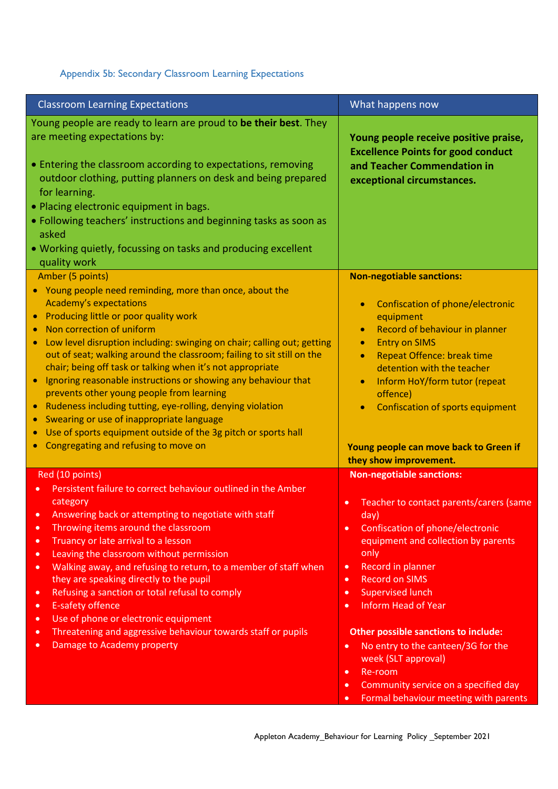# Appendix 5b: Secondary Classroom Learning Expectations

| <b>Classroom Learning Expectations</b>                                                                                                         | What happens now                                                                   |
|------------------------------------------------------------------------------------------------------------------------------------------------|------------------------------------------------------------------------------------|
| Young people are ready to learn are proud to be their best. They<br>are meeting expectations by:                                               | Young people receive positive praise,<br><b>Excellence Points for good conduct</b> |
| • Entering the classroom according to expectations, removing<br>outdoor clothing, putting planners on desk and being prepared<br>for learning. | and Teacher Commendation in<br>exceptional circumstances.                          |
| . Placing electronic equipment in bags.                                                                                                        |                                                                                    |
| · Following teachers' instructions and beginning tasks as soon as<br>asked                                                                     |                                                                                    |
| • Working quietly, focussing on tasks and producing excellent<br>quality work                                                                  |                                                                                    |
| Amber (5 points)                                                                                                                               | <b>Non-negotiable sanctions:</b>                                                   |
| • Young people need reminding, more than once, about the                                                                                       |                                                                                    |
| <b>Academy's expectations</b><br>• Producing little or poor quality work                                                                       | Confiscation of phone/electronic<br>$\bullet$<br>equipment                         |
| Non correction of uniform                                                                                                                      | Record of behaviour in planner<br>$\bullet$                                        |
| Low level disruption including: swinging on chair; calling out; getting<br>$\bullet$                                                           | <b>Entry on SIMS</b><br>$\bullet$                                                  |
| out of seat; walking around the classroom; failing to sit still on the                                                                         | <b>Repeat Offence: break time</b><br>$\bullet$                                     |
| chair; being off task or talking when it's not appropriate<br>Ignoring reasonable instructions or showing any behaviour that<br>$\bullet$      | detention with the teacher                                                         |
| prevents other young people from learning                                                                                                      | Inform HoY/form tutor (repeat<br>$\bullet$<br>offence)                             |
| Rudeness including tutting, eye-rolling, denying violation<br>$\bullet$                                                                        | Confiscation of sports equipment                                                   |
| Swearing or use of inappropriate language                                                                                                      |                                                                                    |
| Use of sports equipment outside of the 3g pitch or sports hall                                                                                 |                                                                                    |
| Congregating and refusing to move on                                                                                                           | Young people can move back to Green if<br>they show improvement.                   |
| Red (10 points)                                                                                                                                | <b>Non-negotiable sanctions:</b>                                                   |
| Persistent failure to correct behaviour outlined in the Amber                                                                                  |                                                                                    |
| category<br>Answering back or attempting to negotiate with staff                                                                               | Teacher to contact parents/carers (same<br>$\bullet$                               |
| Throwing items around the classroom<br>$\bullet$                                                                                               | day)<br>Confiscation of phone/electronic<br>$\bullet$                              |
| Truancy or late arrival to a lesson<br>$\bullet$                                                                                               | equipment and collection by parents                                                |
| Leaving the classroom without permission<br>$\bullet$                                                                                          | only                                                                               |
| Walking away, and refusing to return, to a member of staff when<br>$\bullet$                                                                   | Record in planner<br>$\bullet$                                                     |
| they are speaking directly to the pupil                                                                                                        | <b>Record on SIMS</b><br>$\bullet$                                                 |
| Refusing a sanction or total refusal to comply<br>$\bullet$                                                                                    | <b>Supervised lunch</b><br>$\bullet$                                               |
| <b>E-safety offence</b><br>$\bullet$                                                                                                           | <b>Inform Head of Year</b><br>$\bullet$                                            |
| Use of phone or electronic equipment<br>$\bullet$<br>Threatening and aggressive behaviour towards staff or pupils<br>$\bullet$                 | <b>Other possible sanctions to include:</b>                                        |
| Damage to Academy property<br>$\bullet$                                                                                                        | No entry to the canteen/3G for the<br>$\bullet$                                    |
|                                                                                                                                                | week (SLT approval)                                                                |
|                                                                                                                                                | Re-room<br>$\bullet$                                                               |
|                                                                                                                                                | Community service on a specified day<br>$\bullet$                                  |
|                                                                                                                                                | Formal behaviour meeting with parents<br>$\bullet$                                 |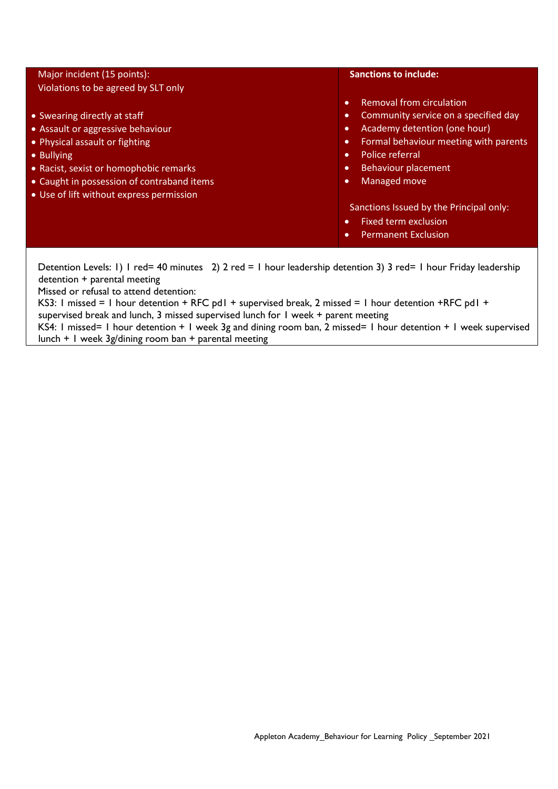| Major incident (15 points):                                                                                                                                                                                                                           | <b>Sanctions to include:</b>                                                                                                                                                                                                                                                                                                                                                                                                     |
|-------------------------------------------------------------------------------------------------------------------------------------------------------------------------------------------------------------------------------------------------------|----------------------------------------------------------------------------------------------------------------------------------------------------------------------------------------------------------------------------------------------------------------------------------------------------------------------------------------------------------------------------------------------------------------------------------|
| Violations to be agreed by SLT only                                                                                                                                                                                                                   |                                                                                                                                                                                                                                                                                                                                                                                                                                  |
| • Swearing directly at staff<br>• Assault or aggressive behaviour<br>• Physical assault or fighting<br>• Bullying<br>• Racist, sexist or homophobic remarks<br>• Caught in possession of contraband items<br>• Use of lift without express permission | Removal from circulation<br>$\bullet$<br>Community service on a specified day<br>$\bullet$<br>Academy detention (one hour)<br>$\bullet$<br>Formal behaviour meeting with parents<br>$\bullet$<br>Police referral<br>$\bullet$<br>Behaviour placement<br>$\bullet$<br>Managed move<br>$\bullet$<br>Sanctions Issued by the Principal only:<br><b>Fixed term exclusion</b><br>$\bullet$<br><b>Permanent Exclusion</b><br>$\bullet$ |
| detention + parental meeting<br>Missed or refusal to attend detention:<br>KS3: I missed = I hour detention + RFC pdI + supervised break, 2 missed = I hour detention + RFC pdI +                                                                      | Detention Levels: 1) I red= 40 minutes 2) 2 red = 1 hour leadership detention 3) 3 red= 1 hour Friday leadership                                                                                                                                                                                                                                                                                                                 |

supervised break and lunch, 3 missed supervised lunch for 1 week + parent meeting

KS4: 1 missed= 1 hour detention + 1 week 3g and dining room ban, 2 missed= 1 hour detention + 1 week supervised lunch + 1 week 3g/dining room ban + parental meeting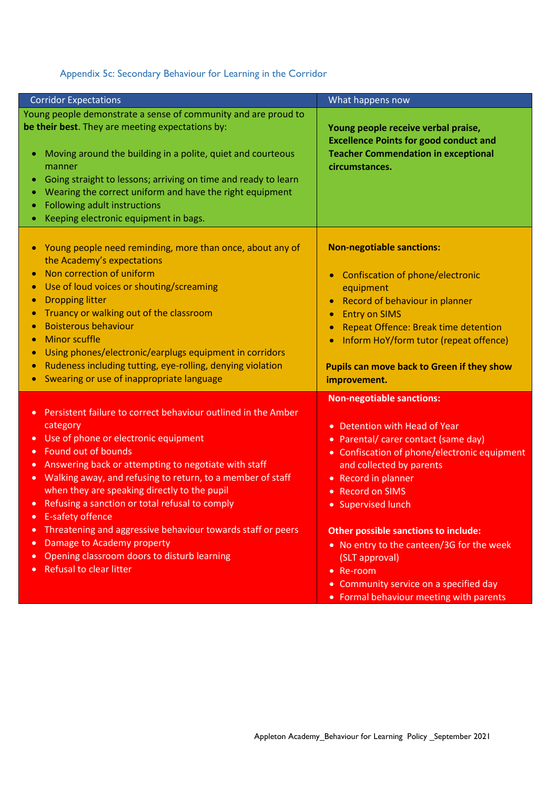# Appendix 5c: Secondary Behaviour for Learning in the Corridor

| <b>Corridor Expectations</b>                                                                                                                                                                                                                                                                                                                                                                                                                                                                                                                                                                                                                                                                                | What happens now                                                                                                                                                                                                                                                                                                                                                                                                                                                                                    |
|-------------------------------------------------------------------------------------------------------------------------------------------------------------------------------------------------------------------------------------------------------------------------------------------------------------------------------------------------------------------------------------------------------------------------------------------------------------------------------------------------------------------------------------------------------------------------------------------------------------------------------------------------------------------------------------------------------------|-----------------------------------------------------------------------------------------------------------------------------------------------------------------------------------------------------------------------------------------------------------------------------------------------------------------------------------------------------------------------------------------------------------------------------------------------------------------------------------------------------|
| Young people demonstrate a sense of community and are proud to<br>be their best. They are meeting expectations by:<br>Moving around the building in a polite, quiet and courteous<br>manner<br>Going straight to lessons; arriving on time and ready to learn<br>Wearing the correct uniform and have the right equipment<br>Following adult instructions<br>Keeping electronic equipment in bags.                                                                                                                                                                                                                                                                                                          | Young people receive verbal praise,<br><b>Excellence Points for good conduct and</b><br><b>Teacher Commendation in exceptional</b><br>circumstances.                                                                                                                                                                                                                                                                                                                                                |
| Young people need reminding, more than once, about any of<br>the Academy's expectations<br>Non correction of uniform<br>$\bullet$<br>Use of loud voices or shouting/screaming<br>$\bullet$<br><b>Dropping litter</b><br>Truancy or walking out of the classroom<br>$\bullet$<br><b>Boisterous behaviour</b><br><b>Minor scuffle</b><br>Using phones/electronic/earplugs equipment in corridors<br>$\bullet$<br>Rudeness including tutting, eye-rolling, denying violation<br>Swearing or use of inappropriate language                                                                                                                                                                                      | <b>Non-negotiable sanctions:</b><br>Confiscation of phone/electronic<br>$\bullet$<br>equipment<br>Record of behaviour in planner<br>$\bullet$<br><b>Entry on SIMS</b><br>$\bullet$<br>Repeat Offence: Break time detention<br>$\bullet$<br>Inform HoY/form tutor (repeat offence)<br>$\bullet$<br>Pupils can move back to Green if they show<br>improvement.                                                                                                                                        |
| Persistent failure to correct behaviour outlined in the Amber<br>$\bullet$<br>category<br>Use of phone or electronic equipment<br>$\bullet$<br>Found out of bounds<br>$\bullet$<br>Answering back or attempting to negotiate with staff<br>$\bullet$<br>Walking away, and refusing to return, to a member of staff<br>$\bullet$<br>when they are speaking directly to the pupil<br>Refusing a sanction or total refusal to comply<br>$\bullet$<br><b>E-safety offence</b><br>$\bullet$<br>Threatening and aggressive behaviour towards staff or peers<br>$\bullet$<br>Damage to Academy property<br>$\bullet$<br>Opening classroom doors to disturb learning<br>$\bullet$<br><b>Refusal to clear litter</b> | <b>Non-negotiable sanctions:</b><br>Detention with Head of Year<br>$\bullet$<br>• Parental/ carer contact (same day)<br>• Confiscation of phone/electronic equipment<br>and collected by parents<br>• Record in planner<br><b>Record on SIMS</b><br>$\bullet$<br>• Supervised lunch<br><b>Other possible sanctions to include:</b><br>• No entry to the canteen/3G for the week<br>(SLT approval)<br>• Re-room<br>• Community service on a specified day<br>• Formal behaviour meeting with parents |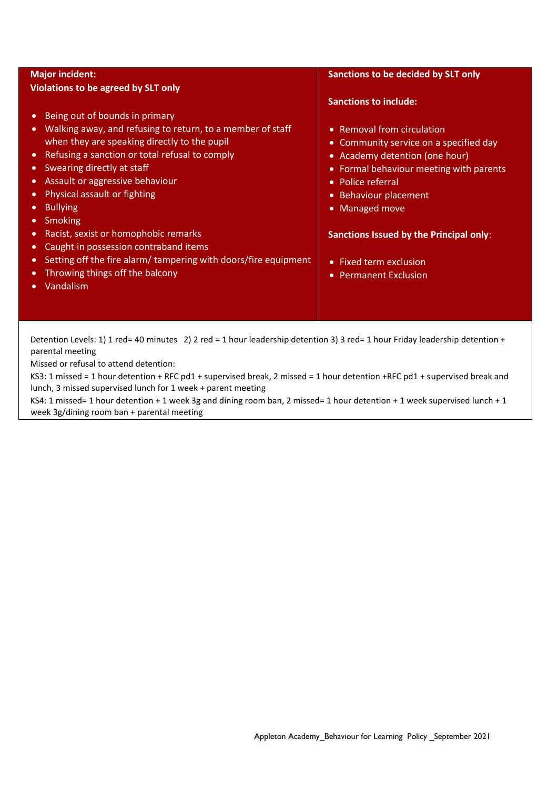| <b>Major incident:</b><br><b>Violations to be agreed by SLT only</b>                                                                                                                                                                                                                                                                                                                                               | Sanctions to be decided by SLT only                                                                                                                                                                               |
|--------------------------------------------------------------------------------------------------------------------------------------------------------------------------------------------------------------------------------------------------------------------------------------------------------------------------------------------------------------------------------------------------------------------|-------------------------------------------------------------------------------------------------------------------------------------------------------------------------------------------------------------------|
|                                                                                                                                                                                                                                                                                                                                                                                                                    | <b>Sanctions to include:</b>                                                                                                                                                                                      |
| Being out of bounds in primary<br>$\bullet$<br>Walking away, and refusing to return, to a member of staff<br>$\bullet$<br>when they are speaking directly to the pupil<br>Refusing a sanction or total refusal to comply<br>$\bullet$<br>Swearing directly at staff<br>$\bullet$<br>Assault or aggressive behaviour<br>$\bullet$<br>Physical assault or fighting<br><b>Bullying</b><br><b>Smoking</b><br>$\bullet$ | • Removal from circulation<br>• Community service on a specified day<br>• Academy detention (one hour)<br>• Formal behaviour meeting with parents<br>• Police referral<br>• Behaviour placement<br>• Managed move |
| Racist, sexist or homophobic remarks<br>$\bullet$<br>Caught in possession contraband items<br>$\bullet$                                                                                                                                                                                                                                                                                                            | <b>Sanctions Issued by the Principal only:</b>                                                                                                                                                                    |
| Setting off the fire alarm/ tampering with doors/fire equipment<br>$\bullet$<br>Throwing things off the balcony<br>Vandalism                                                                                                                                                                                                                                                                                       | • Fixed term exclusion<br><b>Permanent Exclusion</b><br>$\bullet$                                                                                                                                                 |

Detention Levels: 1) 1 red= 40 minutes 2) 2 red = 1 hour leadership detention 3) 3 red= 1 hour Friday leadership detention + parental meeting

Missed or refusal to attend detention:

KS3: 1 missed = 1 hour detention + RFC pd1 + supervised break, 2 missed = 1 hour detention +RFC pd1 + supervised break and lunch, 3 missed supervised lunch for 1 week + parent meeting

KS4: 1 missed= 1 hour detention + 1 week 3g and dining room ban, 2 missed= 1 hour detention + 1 week supervised lunch + 1 week 3g/dining room ban + parental meeting